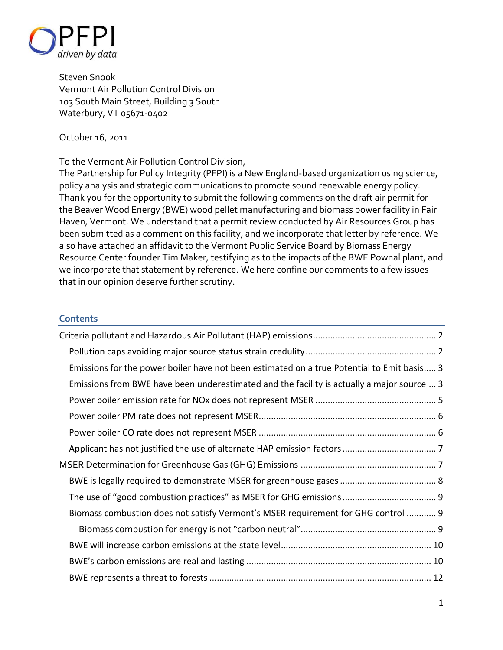

Steven Snook Vermont Air Pollution Control Division 103 South Main Street, Building 3 South Waterbury, VT 05671-0402

#### October 16, 2011

#### To the Vermont Air Pollution Control Division,

The Partnership for Policy Integrity (PFPI) is a New England-based organization using science, policy analysis and strategic communications to promote sound renewable energy policy. Thank you for the opportunity to submit the following comments on the draft air permit for the Beaver Wood Energy (BWE) wood pellet manufacturing and biomass power facility in Fair Haven, Vermont. We understand that a permit review conducted by Air Resources Group has been submitted as a comment on this facility, and we incorporate that letter by reference. We also have attached an affidavit to the Vermont Public Service Board by Biomass Energy Resource Center founder Tim Maker, testifying as to the impacts of the BWE Pownal plant, and we incorporate that statement by reference. We here confine our comments to a few issues that in our opinion deserve further scrutiny.

### **Contents**

| Emissions for the power boiler have not been estimated on a true Potential to Emit basis 3 |  |
|--------------------------------------------------------------------------------------------|--|
| Emissions from BWE have been underestimated and the facility is actually a major source  3 |  |
|                                                                                            |  |
|                                                                                            |  |
|                                                                                            |  |
|                                                                                            |  |
|                                                                                            |  |
|                                                                                            |  |
|                                                                                            |  |
| Biomass combustion does not satisfy Vermont's MSER requirement for GHG control  9          |  |
|                                                                                            |  |
|                                                                                            |  |
|                                                                                            |  |
|                                                                                            |  |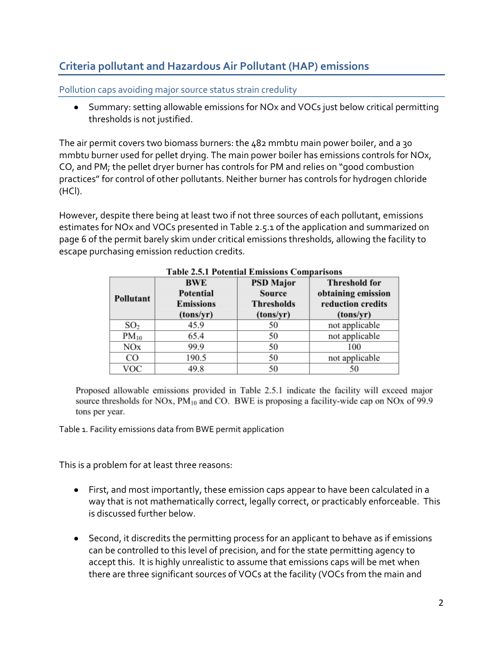# <span id="page-1-0"></span>**Criteria pollutant and Hazardous Air Pollutant (HAP) emissions**

<span id="page-1-1"></span>Pollution caps avoiding major source status strain credulity

Summary: setting allowable emissions for NOx and VOCs just below critical permitting thresholds is not justified.

The air permit covers two biomass burners: the 482 mmbtu main power boiler, and a 30 mmbtu burner used for pellet drying. The main power boiler has emissions controls for NOx, CO, and PM; the pellet dryer burner has controls for PM and relies on "good combustion practices" for control of other pollutants. Neither burner has controls for hydrogen chloride (HCl).

However, despite there being at least two if not three sources of each pollutant, emissions estimates for NOx and VOCs presented in Table 2.5.1 of the application and summarized on page 6 of the permit barely skim under critical emissions thresholds, allowing the facility to escape purchasing emission reduction credits.

| Pollutant       | <b>BWE</b><br>Potential<br><b>Emissions</b><br>(tons/yr) | <b>PSD Major</b><br><b>Source</b><br><b>Thresholds</b><br>(tons/yr) | <b>Threshold for</b><br>obtaining emission<br>reduction credits<br>(tons/yr) |
|-----------------|----------------------------------------------------------|---------------------------------------------------------------------|------------------------------------------------------------------------------|
| SO <sub>2</sub> | 45.9                                                     | 50                                                                  | not applicable                                                               |
| $PM_{10}$       | 65.4                                                     | 50                                                                  | not applicable                                                               |
| NOx             | 99.9                                                     | 50                                                                  | 100                                                                          |
| CO              | 190.5                                                    | 50                                                                  | not applicable                                                               |
| VOC             | 49.8                                                     | 50                                                                  | 50                                                                           |

#### **Table 2.5.1 Potential Emissions Comparisons**

Proposed allowable emissions provided in Table 2.5.1 indicate the facility will exceed major source thresholds for NOx,  $PM_{10}$  and CO. BWE is proposing a facility-wide cap on NOx of 99.9 tons per year.

Table 1. Facility emissions data from BWE permit application

This is a problem for at least three reasons:

- First, and most importantly, these emission caps appear to have been calculated in a way that is not mathematically correct, legally correct, or practicably enforceable. This is discussed further below.
- Second, it discredits the permitting process for an applicant to behave as if emissions can be controlled to this level of precision, and for the state permitting agency to accept this. It is highly unrealistic to assume that emissions caps will be met when there are three significant sources of VOCs at the facility (VOCs from the main and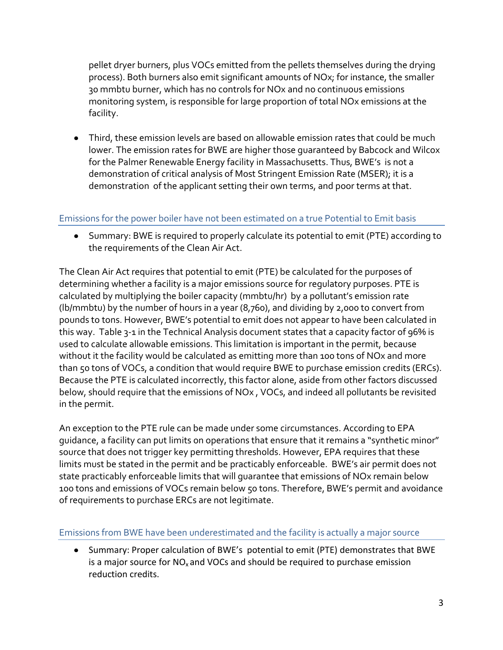pellet dryer burners, plus VOCs emitted from the pellets themselves during the drying process). Both burners also emit significant amounts of NOx; for instance, the smaller 30 mmbtu burner, which has no controls for NOx and no continuous emissions monitoring system, is responsible for large proportion of total NOx emissions at the facility.

Third, these emission levels are based on allowable emission rates that could be much lower. The emission rates for BWE are higher those guaranteed by Babcock and Wilcox for the Palmer Renewable Energy facility in Massachusetts. Thus, BWE's is not a demonstration of critical analysis of Most Stringent Emission Rate (MSER); it is a demonstration of the applicant setting their own terms, and poor terms at that.

# <span id="page-2-0"></span>Emissions for the power boiler have not been estimated on a true Potential to Emit basis

Summary: BWE is required to properly calculate its potential to emit (PTE) according to the requirements of the Clean Air Act.

The Clean Air Act requires that potential to emit (PTE) be calculated for the purposes of determining whether a facility is a major emissions source for regulatory purposes. PTE is calculated by multiplying the boiler capacity (mmbtu/hr) by a pollutant's emission rate (lb/mmbtu) by the number of hours in a year (8,760), and dividing by 2,000 to convert from pounds to tons. However, BWE's potential to emit does not appear to have been calculated in this way. Table 3-1 in the Technical Analysis document states that a capacity factor of 96% is used to calculate allowable emissions. This limitation is important in the permit, because without it the facility would be calculated as emitting more than 100 tons of NOx and more than 50 tons of VOCs, a condition that would require BWE to purchase emission credits (ERCs). Because the PTE is calculated incorrectly, this factor alone, aside from other factors discussed below, should require that the emissions of NOx , VOCs, and indeed all pollutants be revisited in the permit.

An exception to the PTE rule can be made under some circumstances. According to EPA guidance, a facility can put limits on operations that ensure that it remains a "synthetic minor" source that does not trigger key permitting thresholds. However, EPA requires that these limits must be stated in the permit and be practicably enforceable. BWE's air permit does not state practicably enforceable limits that will guarantee that emissions of NOx remain below 100 tons and emissions of VOCs remain below 50 tons. Therefore, BWE's permit and avoidance of requirements to purchase ERCs are not legitimate.

### <span id="page-2-1"></span>Emissions from BWE have been underestimated and the facility is actually a major source

Summary: Proper calculation of BWE's potential to emit (PTE) demonstrates that BWE is a major source for  $NO<sub>x</sub>$  and VOCs and should be required to purchase emission reduction credits.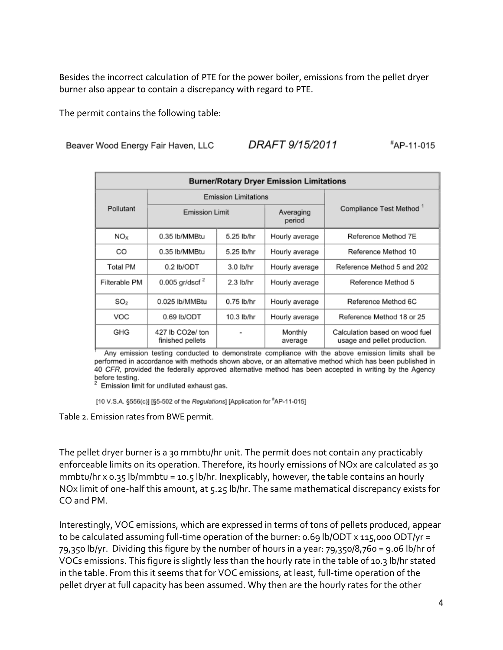Besides the incorrect calculation of PTE for the power boiler, emissions from the pellet dryer burner also appear to contain a discrepancy with regard to PTE.

The permit contains the following table:

DRAFT 9/15/2011 #AP-11-015 Beaver Wood Energy Fair Haven, LLC

| <b>Burner/Rotary Dryer Emission Limitations</b> |                                      |             |                     |                                                                |  |  |  |  |
|-------------------------------------------------|--------------------------------------|-------------|---------------------|----------------------------------------------------------------|--|--|--|--|
| Pollutant                                       | <b>Emission Limitations</b>          |             |                     |                                                                |  |  |  |  |
|                                                 | <b>Emission Limit</b>                |             | Averaging<br>period | Compliance Test Method <sup>1</sup>                            |  |  |  |  |
| NO <sub>x</sub>                                 | 0.35 lb/MMBtu                        | 5.25 lb/hr  | Hourly average      | Reference Method 7E                                            |  |  |  |  |
| CO                                              | 0.35 lb/MMBtu                        | 5.25 lb/hr  | Hourly average      | Reference Method 10                                            |  |  |  |  |
| Total PM                                        | 0.2 lb/ODT                           | 3.0 lb/hr   | Hourly average      | Reference Method 5 and 202                                     |  |  |  |  |
| Filterable PM                                   | 0.005 gr/dscf $^2$                   | $2.3$ lb/hr | Hourly average      | Reference Method 5                                             |  |  |  |  |
| SO <sub>2</sub>                                 | 0.025 lb/MMBtu                       | 0.75 lb/hr  | Hourly average      | Reference Method 6C                                            |  |  |  |  |
| VOC                                             | $0.69$ lb/ODT                        | 10.3 lb/hr  | Hourly average      | Reference Method 18 or 25                                      |  |  |  |  |
| GHG                                             | 427 lb CO2e/ ton<br>finished pellets |             | Monthly<br>average  | Calculation based on wood fuel<br>usage and pellet production. |  |  |  |  |

Any emission testing conducted to demonstrate compliance with the above emission limits shall be performed in accordance with methods shown above, or an alternative method which has been published in 40 CFR, provided the federally approved alternative method has been accepted in writing by the Agency before testing.<br><sup>2</sup> Emission limit for undiluted exhaust gas.

[10 V.S.A. §556(c)] [§5-502 of the Regulations] [Application for "AP-11-015]

Table 2. Emission rates from BWE permit.

The pellet dryer burner is a 30 mmbtu/hr unit. The permit does not contain any practicably enforceable limits on its operation. Therefore, its hourly emissions of NOx are calculated as 30 mmbtu/hr x 0.35 lb/mmbtu = 10.5 lb/hr. Inexplicably, however, the table contains an hourly NOx limit of one-half this amount, at 5.25 lb/hr. The same mathematical discrepancy exists for CO and PM.

Interestingly, VOC emissions, which are expressed in terms of tons of pellets produced, appear to be calculated assuming full-time operation of the burner: 0.69 lb/ODT x 115,000 ODT/yr = 79,350 lb/yr. Dividing this figure by the number of hours in a year: 79,350/8,760 = 9.06 lb/hr of VOCs emissions. This figure is slightly less than the hourly rate in the table of 10.3 lb/hr stated in the table. From this it seems that for VOC emissions, at least, full-time operation of the pellet dryer at full capacity has been assumed. Why then are the hourly rates for the other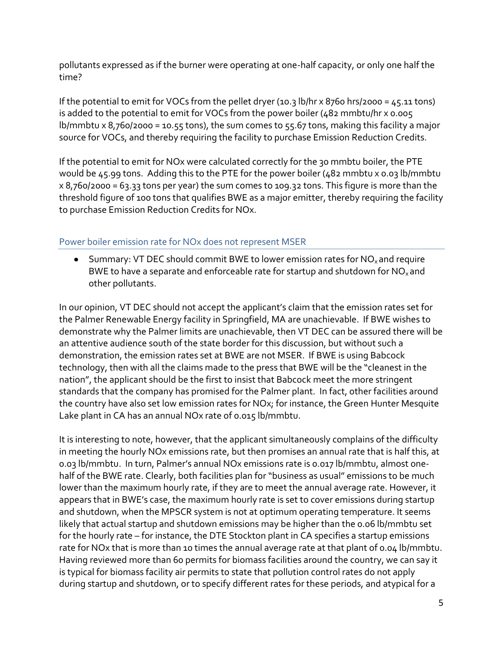pollutants expressed as if the burner were operating at one-half capacity, or only one half the time?

If the potential to emit for VOCs from the pellet dryer (10.3 lb/hr x 8760 hrs/2000 = 45.11 tons) is added to the potential to emit for VOCs from the power boiler (482 mmbtu/hr x 0.005 lb/mmbtu x 8,760/2000 = 10.55 tons), the sum comes to 55.67 tons, making this facility a major source for VOCs, and thereby requiring the facility to purchase Emission Reduction Credits.

If the potential to emit for NOx were calculated correctly for the 30 mmbtu boiler, the PTE would be 45.99 tons. Adding this to the PTE for the power boiler (482 mmbtu x 0.03 lb/mmbtu x 8,760/2000 = 63.33 tons per year) the sum comes to 109.32 tons. This figure is more than the threshold figure of 100 tons that qualifies BWE as a major emitter, thereby requiring the facility to purchase Emission Reduction Credits for NOx.

## <span id="page-4-0"></span>Power boiler emission rate for NOx does not represent MSER

Summary: VT DEC should commit BWE to lower emission rates for  $NO<sub>x</sub>$  and require BWE to have a separate and enforceable rate for startup and shutdown for  $NO<sub>x</sub>$  and other pollutants.

In our opinion, VT DEC should not accept the applicant's claim that the emission rates set for the Palmer Renewable Energy facility in Springfield, MA are unachievable. If BWE wishes to demonstrate why the Palmer limits are unachievable, then VT DEC can be assured there will be an attentive audience south of the state border for this discussion, but without such a demonstration, the emission rates set at BWE are not MSER. If BWE is using Babcock technology, then with all the claims made to the press that BWE will be the "cleanest in the nation", the applicant should be the first to insist that Babcock meet the more stringent standards that the company has promised for the Palmer plant. In fact, other facilities around the country have also set low emission rates for NOx; for instance, the Green Hunter Mesquite Lake plant in CA has an annual NOx rate of 0.015 lb/mmbtu.

It is interesting to note, however, that the applicant simultaneously complains of the difficulty in meeting the hourly NOx emissions rate, but then promises an annual rate that is half this, at 0.03 lb/mmbtu. In turn, Palmer's annual NOx emissions rate is 0.017 lb/mmbtu, almost onehalf of the BWE rate. Clearly, both facilities plan for "business as usual" emissions to be much lower than the maximum hourly rate, if they are to meet the annual average rate. However, it appears that in BWE's case, the maximum hourly rate is set to cover emissions during startup and shutdown, when the MPSCR system is not at optimum operating temperature. It seems likely that actual startup and shutdown emissions may be higher than the 0.06 lb/mmbtu set for the hourly rate – for instance, the DTE Stockton plant in CA specifies a startup emissions rate for NOx that is more than 10 times the annual average rate at that plant of 0.04 lb/mmbtu. Having reviewed more than 60 permits for biomass facilities around the country, we can say it is typical for biomass facility air permits to state that pollution control rates do not apply during startup and shutdown, or to specify different rates for these periods, and atypical for a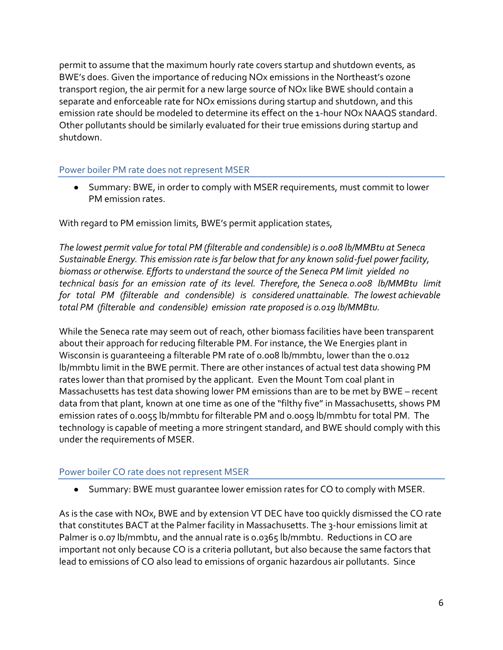permit to assume that the maximum hourly rate covers startup and shutdown events, as BWE's does. Given the importance of reducing NOx emissions in the Northeast's ozone transport region, the air permit for a new large source of NOx like BWE should contain a separate and enforceable rate for NOx emissions during startup and shutdown, and this emission rate should be modeled to determine its effect on the 1-hour NOx NAAQS standard. Other pollutants should be similarly evaluated for their true emissions during startup and shutdown.

## <span id="page-5-0"></span>Power boiler PM rate does not represent MSER

Summary: BWE, in order to comply with MSER requirements, must commit to lower PM emission rates.

With regard to PM emission limits, BWE's permit application states,

*The lowest permit value for total PM (filterable and condensible) is 0.008 lb/MMBtu at Seneca Sustainable Energy. This emission rate is far below that for any known solid-fuel power facility, biomass or otherwise. Efforts to understand the source of the Seneca PM limit yielded no technical basis for an emission rate of its level. Therefore, the Seneca 0.008 lb/MMBtu limit for total PM (filterable and condensible) is considered unattainable. The lowest achievable total PM (filterable and condensible) emission rate proposed is 0.019 lb/MMBtu.* 

While the Seneca rate may seem out of reach, other biomass facilities have been transparent about their approach for reducing filterable PM. For instance, the We Energies plant in Wisconsin is guaranteeing a filterable PM rate of 0.008 lb/mmbtu, lower than the 0.012 lb/mmbtu limit in the BWE permit. There are other instances of actual test data showing PM rates lower than that promised by the applicant. Even the Mount Tom coal plant in Massachusetts has test data showing lower PM emissions than are to be met by BWE – recent data from that plant, known at one time as one of the "filthy five" in Massachusetts, shows PM emission rates of 0.0055 lb/mmbtu for filterable PM and 0.0059 lb/mmbtu for total PM. The technology is capable of meeting a more stringent standard, and BWE should comply with this under the requirements of MSER.

### <span id="page-5-1"></span>Power boiler CO rate does not represent MSER

Summary: BWE must guarantee lower emission rates for CO to comply with MSER.

As is the case with NOx, BWE and by extension VT DEC have too quickly dismissed the CO rate that constitutes BACT at the Palmer facility in Massachusetts. The 3-hour emissions limit at Palmer is 0.07 lb/mmbtu, and the annual rate is 0.0365 lb/mmbtu. Reductions in CO are important not only because CO is a criteria pollutant, but also because the same factors that lead to emissions of CO also lead to emissions of organic hazardous air pollutants. Since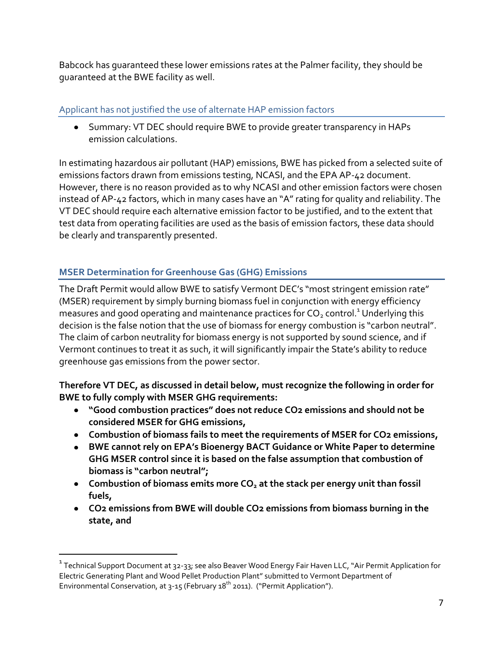Babcock has guaranteed these lower emissions rates at the Palmer facility, they should be guaranteed at the BWE facility as well.

# <span id="page-6-0"></span>Applicant has not justified the use of alternate HAP emission factors

Summary: VT DEC should require BWE to provide greater transparency in HAPs emission calculations.

In estimating hazardous air pollutant (HAP) emissions, BWE has picked from a selected suite of emissions factors drawn from emissions testing, NCASI, and the EPA AP-42 document. However, there is no reason provided as to why NCASI and other emission factors were chosen instead of AP-42 factors, which in many cases have an "A" rating for quality and reliability. The VT DEC should require each alternative emission factor to be justified, and to the extent that test data from operating facilities are used as the basis of emission factors, these data should be clearly and transparently presented.

# <span id="page-6-1"></span>**MSER Determination for Greenhouse Gas (GHG) Emissions**

 $\overline{a}$ 

The Draft Permit would allow BWE to satisfy Vermont DEC's "most stringent emission rate" (MSER) requirement by simply burning biomass fuel in conjunction with energy efficiency measures and good operating and maintenance practices for  $CO<sub>2</sub>$  control.<sup>1</sup> Underlying this decision is the false notion that the use of biomass for energy combustion is "carbon neutral". The claim of carbon neutrality for biomass energy is not supported by sound science, and if Vermont continues to treat it as such, it will significantly impair the State's ability to reduce greenhouse gas emissions from the power sector.

**Therefore VT DEC, as discussed in detail below, must recognize the following in order for BWE to fully comply with MSER GHG requirements:** 

- **"Good combustion practices" does not reduce CO2 emissions and should not be considered MSER for GHG emissions,**
- **Combustion of biomass fails to meet the requirements of MSER for CO2 emissions,**
- **BWE cannot rely on EPA's Bioenergy BACT Guidance or White Paper to determine GHG MSER control since it is based on the false assumption that combustion of biomass is "carbon neutral";**
- **Combustion of biomass emits more CO<sup>2</sup> at the stack per energy unit than fossil fuels,**
- **CO2 emissions from BWE will double CO2 emissions from biomass burning in the state, and**

 $^{\rm 1}$  Technical Support Document at 32-33; see also Beaver Wood Energy Fair Haven LLC, "Air Permit Application for Electric Generating Plant and Wood Pellet Production Plant" submitted to Vermont Department of Environmental Conservation, at 3-15 (February  $18^{th}$  2011). ("Permit Application").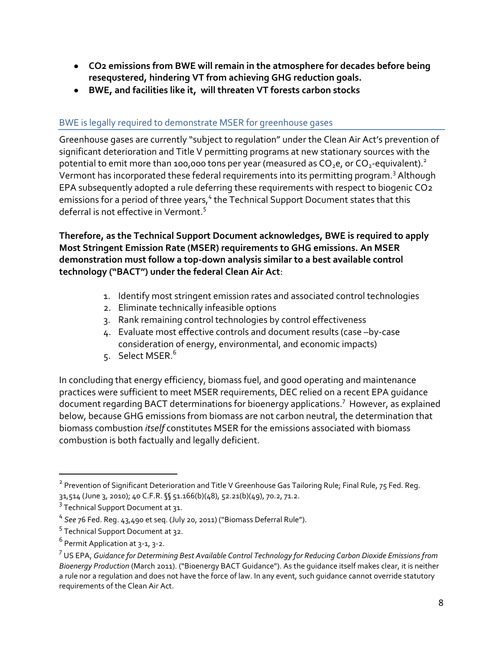- **CO2 emissions from BWE will remain in the atmosphere for decades before being resequstered, hindering VT from achieving GHG reduction goals.**
- **BWE, and facilities like it, will threaten VT forests carbon stocks**

# <span id="page-7-0"></span>BWE is legally required to demonstrate MSER for greenhouse gases

Greenhouse gases are currently "subject to regulation" under the Clean Air Act's prevention of significant deterioration and Title V permitting programs at new stationary sources with the potential to emit more than 100,000 tons per year (measured as  $CO<sub>2</sub>e$ , or  $CO<sub>2</sub>$ -equivalent).<sup>2</sup> Vermont has incorporated these federal requirements into its permitting program.<sup>3</sup> Although EPA subsequently adopted a rule deferring these requirements with respect to biogenic CO2 emissions for a period of three years,<sup>4</sup> the Technical Support Document states that this deferral is not effective in Vermont.<sup>5</sup>

**Therefore, as the Technical Support Document acknowledges, BWE is required to apply Most Stringent Emission Rate (MSER) requirements to GHG emissions. An MSER demonstration must follow a top-down analysis similar to a best available control technology ("BACT") under the federal Clean Air Act**:

- 1. Identify most stringent emission rates and associated control technologies
- 2. Eliminate technically infeasible options
- 3. Rank remaining control technologies by control effectiveness
- 4. Evaluate most effective controls and document results (case –by-case consideration of energy, environmental, and economic impacts)
- 5. Select MSER. $^6$

In concluding that energy efficiency, biomass fuel, and good operating and maintenance practices were sufficient to meet MSER requirements, DEC relied on a recent EPA guidance document regarding BACT determinations for bioenergy applications.<sup>7</sup> However, as explained below, because GHG emissions from biomass are not carbon neutral, the determination that biomass combustion *itself* constitutes MSER for the emissions associated with biomass combustion is both factually and legally deficient.

 $^{\text{2}}$  Prevention of Significant Deterioration and Title V Greenhouse Gas Tailoring Rule; Final Rule, 75 Fed. Reg. 31,514 (June 3, 2010); 40 C.F.R. §§ 51.166(b)(48), 52.21(b)(49), 70.2, 71.2.

 $^3$  Technical Support Document at 31.

<sup>4</sup> *See* 76 Fed. Reg. 43,490 et seq. (July 20, 2011) ("Biomass Deferral Rule").

<sup>&</sup>lt;sup>5</sup> Technical Support Document at 32.

 $^6$  Permit Application at 3-1, 3-2.

<sup>7</sup> US EPA, *Guidance for Determining Best Available Control Technology for Reducing Carbon Dioxide Emissions from Bioenergy Production* (March 2011). ("Bioenergy BACT Guidance"). As the guidance itself makes clear, it is neither a rule nor a regulation and does not have the force of law. In any event, such guidance cannot override statutory requirements of the Clean Air Act.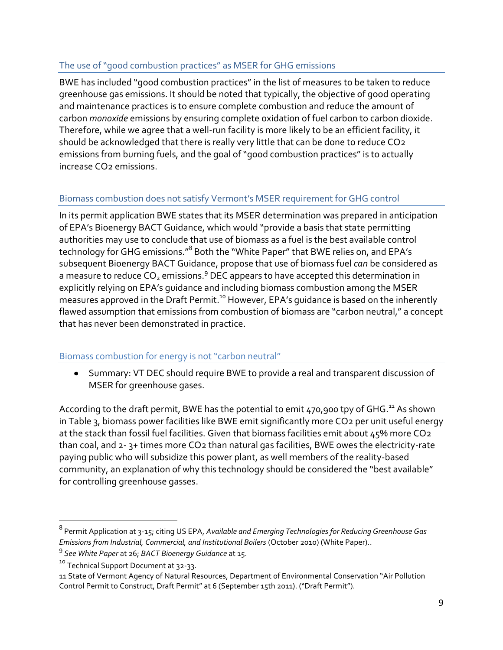# <span id="page-8-0"></span>The use of "good combustion practices" as MSER for GHG emissions

BWE has included "good combustion practices" in the list of measures to be taken to reduce greenhouse gas emissions. It should be noted that typically, the objective of good operating and maintenance practices is to ensure complete combustion and reduce the amount of carbon *monoxide* emissions by ensuring complete oxidation of fuel carbon to carbon dioxide. Therefore, while we agree that a well-run facility is more likely to be an efficient facility, it should be acknowledged that there is really very little that can be done to reduce CO2 emissions from burning fuels, and the goal of "good combustion practices" is to actually increase CO2 emissions.

# <span id="page-8-1"></span>Biomass combustion does not satisfy Vermont's MSER requirement for GHG control

In its permit application BWE states that its MSER determination was prepared in anticipation of EPA's Bioenergy BACT Guidance, which would "provide a basis that state permitting authorities may use to conclude that use of biomass as a fuel is the best available control technology for GHG emissions."<sup>8</sup> Both the "White Paper" that BWE relies on, and EPA's subsequent Bioenergy BACT Guidance, propose that use of biomass fuel *can* be considered as a measure to reduce  $CO<sub>2</sub>$  emissions.<sup>9</sup> DEC appears to have accepted this determination in explicitly relying on EPA's guidance and including biomass combustion among the MSER measures approved in the Draft Permit.<sup>10</sup> However, EPA's guidance is based on the inherently flawed assumption that emissions from combustion of biomass are "carbon neutral," a concept that has never been demonstrated in practice.

## <span id="page-8-2"></span>Biomass combustion for energy is not "carbon neutral"

Summary: VT DEC should require BWE to provide a real and transparent discussion of MSER for greenhouse gases.

According to the draft permit, BWE has the potential to emit  $470,900$  tpy of GHG.<sup>11</sup> As shown in Table 3, biomass power facilities like BWE emit significantly more CO2 per unit useful energy at the stack than fossil fuel facilities. Given that biomass facilities emit about 45% more CO2 than coal, and 2- 3+ times more CO2 than natural gas facilities, BWE owes the electricity-rate paying public who will subsidize this power plant, as well members of the reality-based community, an explanation of why this technology should be considered the "best available" for controlling greenhouse gasses.

<sup>8</sup> Permit Application at 3-15; citing US EPA, *Available and Emerging Technologies for Reducing Greenhouse Gas Emissions from Industrial, Commercial, and Institutional Boilers* (October 2010) (White Paper)..

<sup>9</sup> *See White Paper* at 26; *BACT Bioenergy Guidance* at 15.

<sup>&</sup>lt;sup>10</sup> Technical Support Document at 32-33.

<sup>11</sup> State of Vermont Agency of Natural Resources, Department of Environmental Conservation "Air Pollution Control Permit to Construct, Draft Permit" at 6 (September 15th 2011). ("Draft Permit").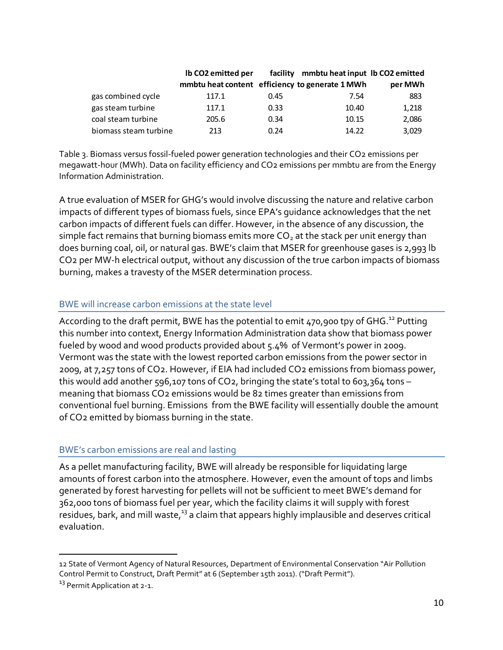|                       | Ib CO2 emitted per                              |      | facility mmbtu heat input Ib CO2 emitted |         |
|-----------------------|-------------------------------------------------|------|------------------------------------------|---------|
|                       | mmbtu heat content efficiency to generate 1 MWh |      |                                          | per MWh |
| gas combined cycle    | 117.1                                           | 0.45 | 7.54                                     | 883     |
| gas steam turbine     | 117.1                                           | 0.33 | 10.40                                    | 1,218   |
| coal steam turbine    | 205.6                                           | 0.34 | 10.15                                    | 2,086   |
| biomass steam turbine | 213                                             | 0.24 | 14.22                                    | 3,029   |

Table 3. Biomass versus fossil-fueled power generation technologies and their CO2 emissions per megawatt-hour (MWh). Data on facility efficiency and CO2 emissions per mmbtu are from the Energy Information Administration.

A true evaluation of MSER for GHG's would involve discussing the nature and relative carbon impacts of different types of biomass fuels, since EPA's guidance acknowledges that the net carbon impacts of different fuels can differ. However, in the absence of any discussion, the simple fact remains that burning biomass emits more  $CO<sub>2</sub>$  at the stack per unit energy than does burning coal, oil, or natural gas. BWE's claim that MSER for greenhouse gases is 2,993 lb CO2 per MW-h electrical output, without any discussion of the true carbon impacts of biomass burning, makes a travesty of the MSER determination process.

### <span id="page-9-0"></span>BWE will increase carbon emissions at the state level

According to the draft permit, BWE has the potential to emit  $470,900$  tpy of GHG.<sup>12</sup> Putting this number into context, Energy Information Administration data show that biomass power fueled by wood and wood products provided about 5.4% of Vermont's power in 2009. Vermont was the state with the lowest reported carbon emissions from the power sector in 2009, at 7,257 tons of CO2. However, if EIA had included CO2 emissions from biomass power, this would add another 596,107 tons of CO2, bringing the state's total to 603,364 tons – meaning that biomass CO2 emissions would be 82 times greater than emissions from conventional fuel burning. Emissions from the BWE facility will essentially double the amount of CO2 emitted by biomass burning in the state.

## <span id="page-9-1"></span>BWE's carbon emissions are real and lasting

As a pellet manufacturing facility, BWE will already be responsible for liquidating large amounts of forest carbon into the atmosphere. However, even the amount of tops and limbs generated by forest harvesting for pellets will not be sufficient to meet BWE's demand for 362,000 tons of biomass fuel per year, which the facility claims it will supply with forest residues, bark, and mill waste,<sup>13</sup> a claim that appears highly implausible and deserves critical evaluation.

<sup>12</sup> State of Vermont Agency of Natural Resources, Department of Environmental Conservation "Air Pollution Control Permit to Construct, Draft Permit" at 6 (September 15th 2011). ("Draft Permit").

<sup>&</sup>lt;sup>13</sup> Permit Application at 2-1.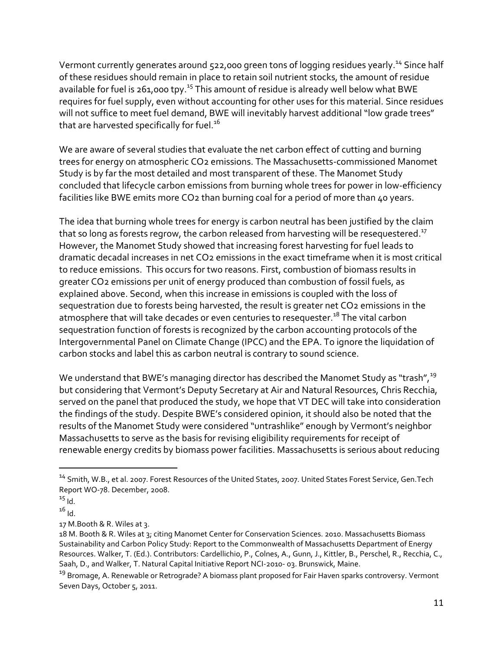Vermont currently generates around 522,000 green tons of logging residues yearly.<sup>14</sup> Since half of these residues should remain in place to retain soil nutrient stocks, the amount of residue available for fuel is 261,000 tpy.<sup>15</sup> This amount of residue is already well below what BWE requires for fuel supply, even without accounting for other uses for this material. Since residues will not suffice to meet fuel demand, BWE will inevitably harvest additional "low grade trees" that are harvested specifically for fuel.<sup>16</sup>

We are aware of several studies that evaluate the net carbon effect of cutting and burning trees for energy on atmospheric CO2 emissions. The Massachusetts-commissioned Manomet Study is by far the most detailed and most transparent of these. The Manomet Study concluded that lifecycle carbon emissions from burning whole trees for power in low-efficiency facilities like BWE emits more CO2 than burning coal for a period of more than 40 years.

The idea that burning whole trees for energy is carbon neutral has been justified by the claim that so long as forests regrow, the carbon released from harvesting will be resequestered. $^{\text{17}}$ However, the Manomet Study showed that increasing forest harvesting for fuel leads to dramatic decadal increases in net CO2 emissions in the exact timeframe when it is most critical to reduce emissions. This occurs for two reasons. First, combustion of biomass results in greater CO2 emissions per unit of energy produced than combustion of fossil fuels, as explained above. Second, when this increase in emissions is coupled with the loss of sequestration due to forests being harvested, the result is greater net CO<sub>2</sub> emissions in the atmosphere that will take decades or even centuries to resequester.<sup>18</sup> The vital carbon sequestration function of forests is recognized by the carbon accounting protocols of the Intergovernmental Panel on Climate Change (IPCC) and the EPA. To ignore the liquidation of carbon stocks and label this as carbon neutral is contrary to sound science.

We understand that BWE's managing director has described the Manomet Study as "trash",<sup>19</sup> but considering that Vermont's Deputy Secretary at Air and Natural Resources, Chris Recchia, served on the panel that produced the study, we hope that VT DEC will take into consideration the findings of the study. Despite BWE's considered opinion, it should also be noted that the results of the Manomet Study were considered "untrashlike" enough by Vermont's neighbor Massachusetts to serve as the basis for revising eligibility requirements for receipt of renewable energy credits by biomass power facilities. Massachusetts is serious about reducing

<sup>&</sup>lt;sup>14</sup> Smith, W.B., et al. 2007. Forest Resources of the United States, 2007. United States Forest Service, Gen.Tech Report WO-78. December, 2008.

 $15$  Id.

 $16$  Id.

<sup>17</sup> M.Booth & R. Wiles at 3.

<sup>18</sup> M. Booth & R. Wiles at 3; citing Manomet Center for Conservation Sciences. 2010. Massachusetts Biomass Sustainability and Carbon Policy Study: Report to the Commonwealth of Massachusetts Department of Energy Resources. Walker, T. (Ed.). Contributors: Cardellichio, P., Colnes, A., Gunn, J., Kittler, B., Perschel, R., Recchia, C., Saah, D., and Walker, T. Natural Capital Initiative Report NCI-2010- 03. Brunswick, Maine.

<sup>&</sup>lt;sup>19</sup> Bromage, A. Renewable or Retrograde? A biomass plant proposed for Fair Haven sparks controversy. Vermont Seven Days, October 5, 2011.